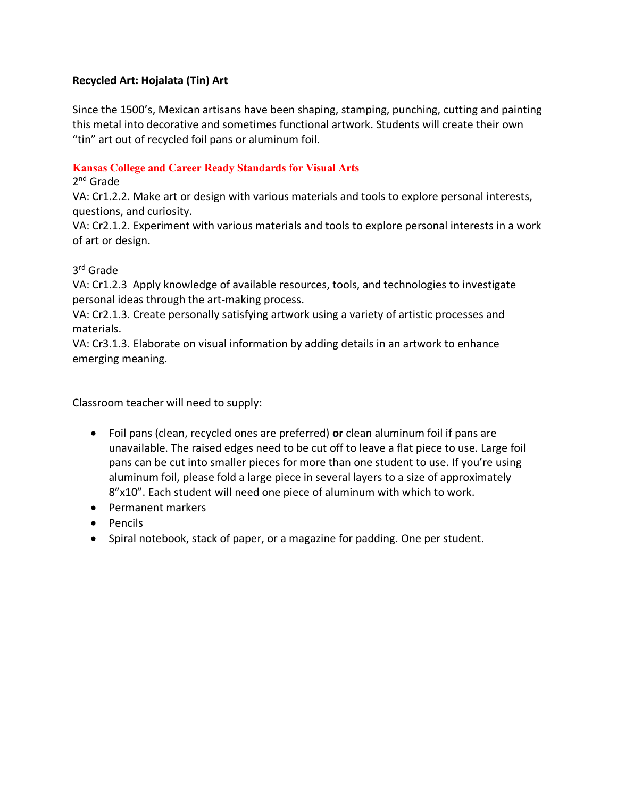## **Recycled Art: Hojalata (Tin) Art**

Since the 1500's, Mexican artisans have been shaping, stamping, punching, cutting and painting this metal into decorative and sometimes functional artwork. Students will create their own "tin" art out of recycled foil pans or aluminum foil.

#### **Kansas College and Career Ready Standards for Visual Arts**

#### 2nd Grade

VA: Cr1.2.2. Make art or design with various materials and tools to explore personal interests, questions, and curiosity.

VA: Cr2.1.2. Experiment with various materials and tools to explore personal interests in a work of art or design.

## 3rd Grade

VA: Cr1.2.3 Apply knowledge of available resources, tools, and technologies to investigate personal ideas through the art-making process.

VA: Cr2.1.3. Create personally satisfying artwork using a variety of artistic processes and materials.

VA: Cr3.1.3. Elaborate on visual information by adding details in an artwork to enhance emerging meaning.

Classroom teacher will need to supply:

- Foil pans (clean, recycled ones are preferred) **or** clean aluminum foil if pans are unavailable. The raised edges need to be cut off to leave a flat piece to use. Large foil pans can be cut into smaller pieces for more than one student to use. If you're using aluminum foil, please fold a large piece in several layers to a size of approximately 8"x10". Each student will need one piece of aluminum with which to work.
- Permanent markers
- Pencils
- Spiral notebook, stack of paper, or a magazine for padding. One per student.